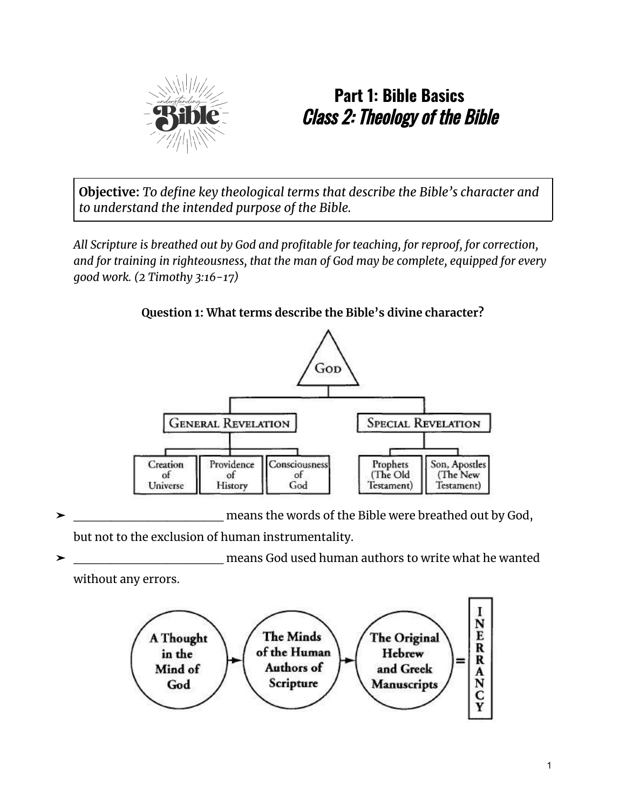

# **Part 1: Bible Basics** Class 2: Theology of the Bible

**Objective:** *To define key theological terms that describe the Bible's character and to understand the intended purpose of the Bible.*

*All Scripture is breathed out by God and profitable for teaching, for reproof, for correction, and for training in righteousness, that the man of God may be complete, equipped for every good work. (2 Timothy 3:16-17)*



#### **Question 1: What terms describe the Bible's divine character?**

means the words of the Bible were breathed out by God, but not to the exclusion of human instrumentality.

means God used human authors to write what he wanted without any errors.

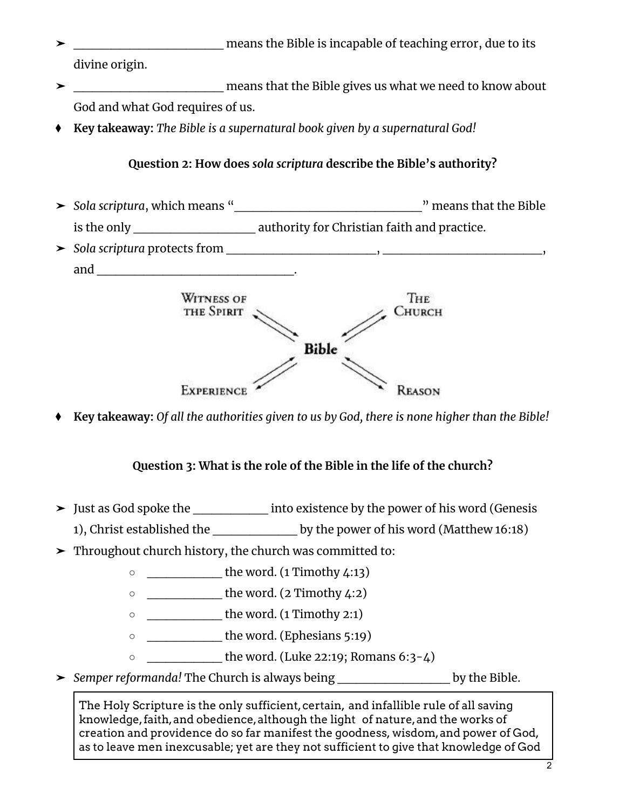- ➤ \_\_\_\_\_\_\_\_\_\_\_\_\_\_\_\_ means the Bible is incapable of teaching error, due to its divine origin.
- ➤ \_\_\_\_\_\_\_\_\_\_\_\_\_\_\_\_ means that the Bible gives us what we need to know about God and what God requires of us.
- ⧫ **Key takeaway:** *The Bible is a supernatural book given by a supernatural God!*

### **Question 2: How does** *sola scriptura* **describe the Bible's authority?**

- ➤ *Sola scriptura*, which means "\_\_\_\_\_\_\_\_\_\_\_\_\_\_\_\_\_\_\_\_" means that the Bible is the only **EXECUTE:** authority for Christian faith and practice.
- ➤ *Sola scriptura* protects from \_\_\_\_\_\_\_\_\_\_\_\_\_\_\_\_, \_\_\_\_\_\_\_\_\_\_\_\_\_\_\_\_\_, and \_\_\_\_\_\_\_\_\_\_\_\_\_\_\_\_\_\_\_\_\_.



⧫ **Key takeaway:** *Of all the authorities given to us by God, there is none higher than the Bible!*

## **Question 3: What is the role of the Bible in the life of the church?**

- ➤ Just as God spoke the \_\_\_\_\_\_\_\_ into existence by the power of his word (Genesis
- 1), Christ established the by the power of his word (Matthew 16:18)
- ➤ Throughout church history, the church was committed to:
	- \_\_\_\_\_\_\_\_ the word. (1 Timothy 4:13)
	- \_\_\_\_\_\_\_\_\_\_\_\_\_\_ the word. (2 Timothy 4:2)
	- $\circ$  \_\_\_\_\_\_\_\_\_\_\_\_\_\_\_\_\_\_\_the word. (1 Timothy 2:1)
	- $\circ$  \_\_\_\_\_\_\_\_\_\_\_\_\_\_\_\_\_\_\_\_the word. (Ephesians 5:19)
	- $\circ$  \_\_\_\_\_\_\_\_\_\_\_\_\_\_\_ the word. (Luke 22:19; Romans 6:3-4)
- ➤ *Semper reformanda!* The Church is always being \_\_\_\_\_\_\_\_\_\_\_\_ by the Bible.

The Holy Scripture is the only sufficient,certain, and infallible rule of all saving knowledge,faith,and obedience,although the light of nature,and the works of creation and providence do so far manifest the goodness, wisdom,and power of God, as to leave men inexcusable; yet are they not sufficient to give that knowledge of God